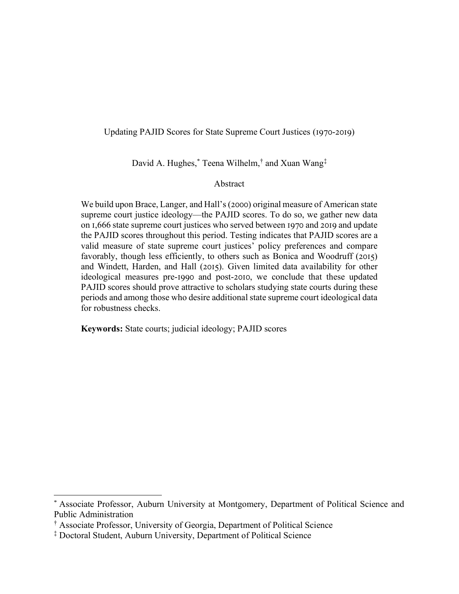# Updating PAJID Scores for State Supreme Court Justices (1970-2019)

David A. Hughes, \* Teena Wilhelm, † and Xuan Wang‡

# Abstract

We build upon Brace, Langer, and Hall's (2000) original measure of American state supreme court justice ideology—the PAJID scores. To do so, we gather new data on 1,666 state supreme court justices who served between 1970 and 2019 and update the PAJID scores throughout this period. Testing indicates that PAJID scores are a valid measure of state supreme court justices' policy preferences and compare favorably, though less efficiently, to others such as Bonica and Woodruff (2015) and Windett, Harden, and Hall (2015). Given limited data availability for other ideological measures pre-1990 and post-2010, we conclude that these updated PAJID scores should prove attractive to scholars studying state courts during these periods and among those who desire additional state supreme court ideological data for robustness checks.

**Keywords:** State courts; judicial ideology; PAJID scores

Associate Professor, Auburn University at Montgomery, Department of Political Science and Public Administration

<sup>†</sup> Associate Professor, University of Georgia, Department of Political Science

<sup>‡</sup> Doctoral Student, Auburn University, Department of Political Science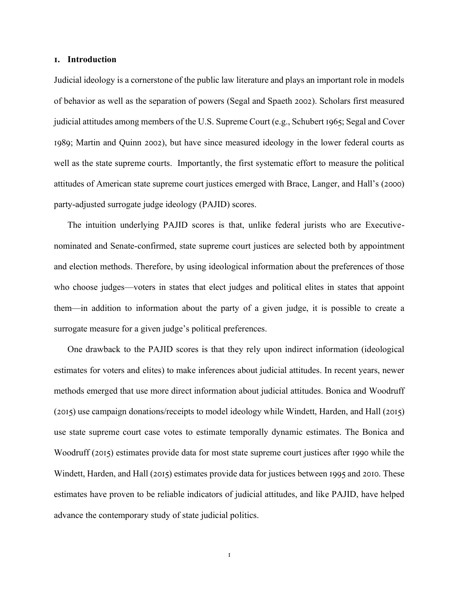### **1. Introduction**

Judicial ideology is a cornerstone of the public law literature and plays an important role in models of behavior as well as the separation of powers (Segal and Spaeth 2002). Scholars first measured judicial attitudes among members of the U.S. Supreme Court (e.g., Schubert 1965; Segal and Cover 1989; Martin and Quinn 2002), but have since measured ideology in the lower federal courts as well as the state supreme courts. Importantly, the first systematic effort to measure the political attitudes of American state supreme court justices emerged with Brace, Langer, and Hall's (2000) party-adjusted surrogate judge ideology (PAJID) scores.

The intuition underlying PAJID scores is that, unlike federal jurists who are Executivenominated and Senate-confirmed, state supreme court justices are selected both by appointment and election methods. Therefore, by using ideological information about the preferences of those who choose judges—voters in states that elect judges and political elites in states that appoint them—in addition to information about the party of a given judge, it is possible to create a surrogate measure for a given judge's political preferences.

One drawback to the PAJID scores is that they rely upon indirect information (ideological estimates for voters and elites) to make inferences about judicial attitudes. In recent years, newer methods emerged that use more direct information about judicial attitudes. Bonica and Woodruff (2015) use campaign donations/receipts to model ideology while Windett, Harden, and Hall (2015) use state supreme court case votes to estimate temporally dynamic estimates. The Bonica and Woodruff (2015) estimates provide data for most state supreme court justices after 1990 while the Windett, Harden, and Hall (2015) estimates provide data for justices between 1995 and 2010. These estimates have proven to be reliable indicators of judicial attitudes, and like PAJID, have helped advance the contemporary study of state judicial politics.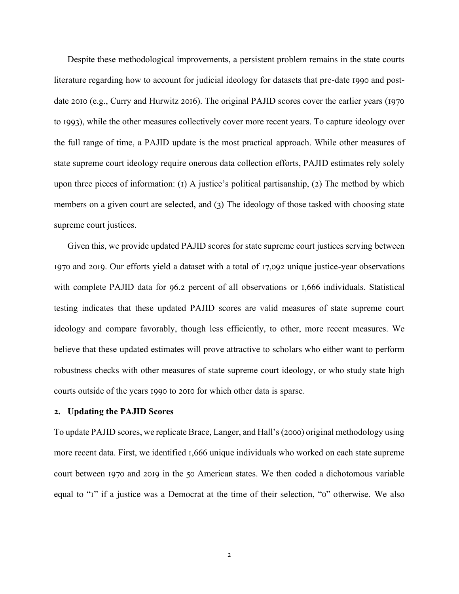Despite these methodological improvements, a persistent problem remains in the state courts literature regarding how to account for judicial ideology for datasets that pre-date 1990 and postdate 2010 (e.g., Curry and Hurwitz 2016). The original PAJID scores cover the earlier years (1970 to 1993), while the other measures collectively cover more recent years. To capture ideology over the full range of time, a PAJID update is the most practical approach. While other measures of state supreme court ideology require onerous data collection efforts, PAJID estimates rely solely upon three pieces of information: (1) A justice's political partisanship, (2) The method by which members on a given court are selected, and (3) The ideology of those tasked with choosing state supreme court justices.

Given this, we provide updated PAJID scores for state supreme court justices serving between 1970 and 2019. Our efforts yield a dataset with a total of 17,092 unique justice-year observations with complete PAJID data for 96.2 percent of all observations or 1,666 individuals. Statistical testing indicates that these updated PAJID scores are valid measures of state supreme court ideology and compare favorably, though less efficiently, to other, more recent measures. We believe that these updated estimates will prove attractive to scholars who either want to perform robustness checks with other measures of state supreme court ideology, or who study state high courts outside of the years 1990 to 2010 for which other data is sparse.

#### **2. Updating the PAJID Scores**

To update PAJID scores, we replicate Brace, Langer, and Hall's (2000) original methodology using more recent data. First, we identified 1,666 unique individuals who worked on each state supreme court between 1970 and 2019 in the 50 American states. We then coded a dichotomous variable equal to "1" if a justice was a Democrat at the time of their selection, "0" otherwise. We also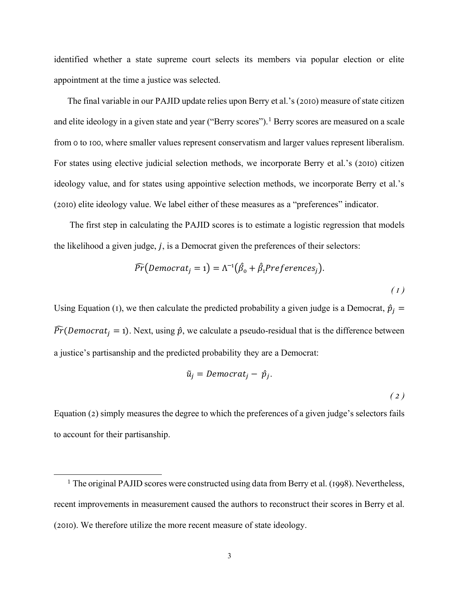identified whether a state supreme court selects its members via popular election or elite appointment at the time a justice was selected.

The final variable in our PAJID update relies upon Berry et al.'s (2010) measure of state citizen and elite ideology in a given state and year ("Berry scores").<sup>1</sup> Berry scores are measured on a scale from 0 to 100, where smaller values represent conservatism and larger values represent liberalism. For states using elective judicial selection methods, we incorporate Berry et al.'s (2010) citizen ideology value, and for states using appointive selection methods, we incorporate Berry et al.'s (2010) elite ideology value. We label either of these measures as a "preferences" indicator.

The first step in calculating the PAJID scores is to estimate a logistic regression that models the likelihood a given judge,  $j$ , is a Democrat given the preferences of their selectors:

$$
\widehat{Pr}(Democrat_j = 1) = \Lambda^{-1}(\hat{\beta}_0 + \hat{\beta}_1 Preferences_j).
$$
\n(1)

Using Equation (1), we then calculate the predicted probability a given judge is a Democrat,  $\hat{p}_i$  =  $\widehat{Pr}(Democrat_i = 1)$ . Next, using  $\hat{p}$ , we calculate a pseudo-residual that is the difference between a justice's partisanship and the predicted probability they are a Democrat:

$$
\tilde{u}_j = Democrat_j - \hat{p}_j.
$$

*( 2 )*

Equation (2) simply measures the degree to which the preferences of a given judge's selectors fails to account for their partisanship.

<sup>&</sup>lt;sup>1</sup> The original PAJID scores were constructed using data from Berry et al. (1998). Nevertheless, recent improvements in measurement caused the authors to reconstruct their scores in Berry et al. (2010). We therefore utilize the more recent measure of state ideology.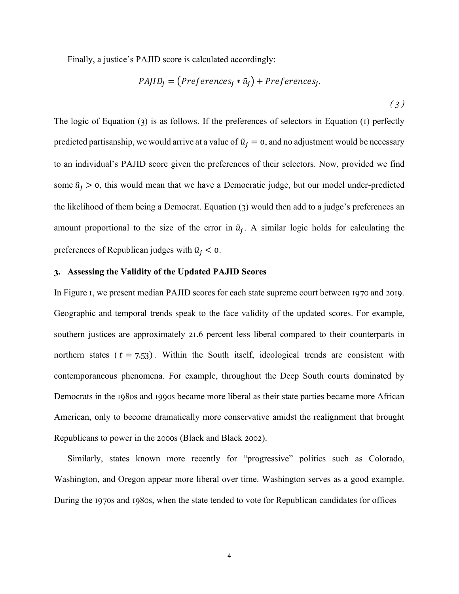Finally, a justice's PAJID score is calculated accordingly:

$$
PAJID_j = (Preferences_j * \tilde{u}_j) + Preferences_j.
$$
\n(3)

The logic of Equation (3) is as follows. If the preferences of selectors in Equation (1) perfectly predicted partisanship, we would arrive at a value of  $\tilde{u}_i = 0$ , and no adjustment would be necessary to an individual's PAJID score given the preferences of their selectors. Now, provided we find some  $\tilde{u}_j > 0$ , this would mean that we have a Democratic judge, but our model under-predicted the likelihood of them being a Democrat. Equation (3) would then add to a judge's preferences an amount proportional to the size of the error in  $\tilde{u}_j$ . A similar logic holds for calculating the preferences of Republican judges with  $\tilde{u}_i < 0$ .

# **3. Assessing the Validity of the Updated PAJID Scores**

In Figure 1, we present median PAJID scores for each state supreme court between 1970 and 2019. Geographic and temporal trends speak to the face validity of the updated scores. For example, southern justices are approximately 21.6 percent less liberal compared to their counterparts in northern states ( $t = 7.53$ ). Within the South itself, ideological trends are consistent with contemporaneous phenomena. For example, throughout the Deep South courts dominated by Democrats in the 1980s and 1990s became more liberal as their state parties became more African American, only to become dramatically more conservative amidst the realignment that brought Republicans to power in the 2000s (Black and Black 2002).

Similarly, states known more recently for "progressive" politics such as Colorado, Washington, and Oregon appear more liberal over time. Washington serves as a good example. During the 1970s and 1980s, when the state tended to vote for Republican candidates for offices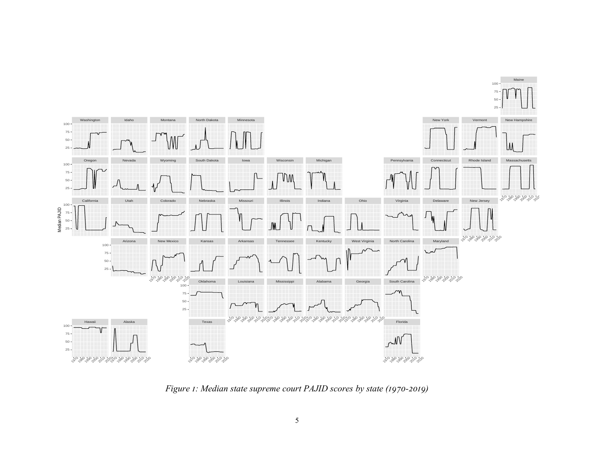

*Figure 1: Median state supreme court PAJID scores by state (1970-2019)*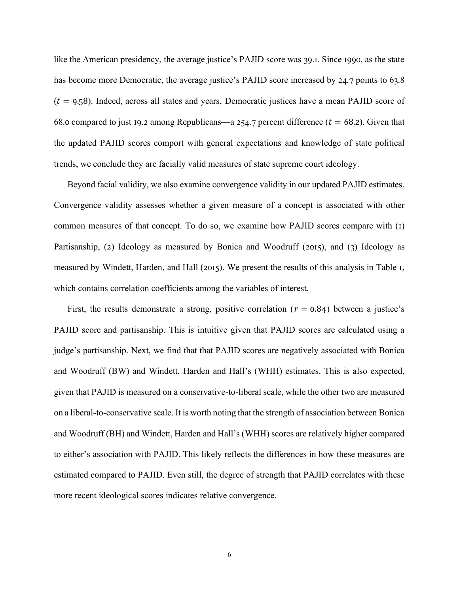like the American presidency, the average justice's PAJID score was 39.1. Since 1990, as the state has become more Democratic, the average justice's PAJID score increased by 24.7 points to 63.8  $(t = 9.58)$ . Indeed, across all states and years, Democratic justices have a mean PAJID score of 68.0 compared to just 19.2 among Republicans—a 254.7 percent difference ( $t = 68.2$ ). Given that the updated PAJID scores comport with general expectations and knowledge of state political trends, we conclude they are facially valid measures of state supreme court ideology.

Beyond facial validity, we also examine convergence validity in our updated PAJID estimates. Convergence validity assesses whether a given measure of a concept is associated with other common measures of that concept. To do so, we examine how PAJID scores compare with (1) Partisanship, (2) Ideology as measured by Bonica and Woodruff (2015), and (3) Ideology as measured by Windett, Harden, and Hall (2015). We present the results of this analysis in Table 1, which contains correlation coefficients among the variables of interest.

First, the results demonstrate a strong, positive correlation ( $r = 0.84$ ) between a justice's PAJID score and partisanship. This is intuitive given that PAJID scores are calculated using a judge's partisanship. Next, we find that that PAJID scores are negatively associated with Bonica and Woodruff (BW) and Windett, Harden and Hall's (WHH) estimates. This is also expected, given that PAJID is measured on a conservative-to-liberal scale, while the other two are measured on a liberal-to-conservative scale. It is worth noting that the strength of association between Bonica and Woodruff (BH) and Windett, Harden and Hall's (WHH) scores are relatively higher compared to either's association with PAJID. This likely reflects the differences in how these measures are estimated compared to PAJID. Even still, the degree of strength that PAJID correlates with these more recent ideological scores indicates relative convergence.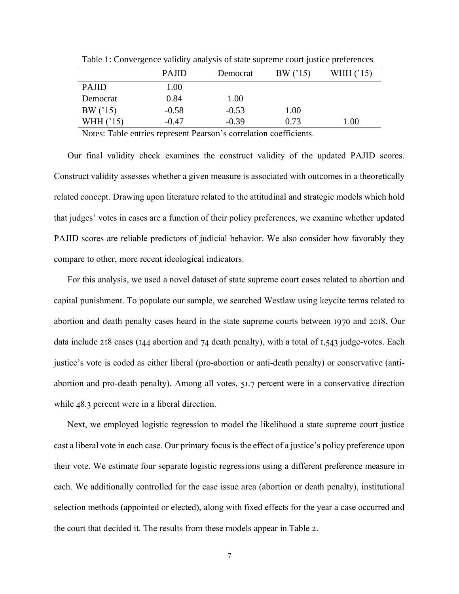|              | <b>PAJID</b> | Democrat | BW('15) | WHH ('15) |
|--------------|--------------|----------|---------|-----------|
| <b>PAJID</b> | 1.00         |          |         |           |
| Democrat     | 0.84         | 1.00     |         |           |
| BW('15)      | $-0.58$      | $-0.53$  | 1.00    |           |
| WHH $('15)$  | $-0.47$      | $-0.39$  | 0.73    | 1.00      |

Table 1: Convergence validity analysis of state supreme court justice preferences

Notes: Table entries represent Pearson's correlation coefficients.

Our final validity check examines the construct validity of the updated PAJID scores. Construct validity assesses whether a given measure is associated with outcomes in a theoretically related concept. Drawing upon literature related to the attitudinal and strategic models which hold that judges' votes in cases are a function of their policy preferences, we examine whether updated PAJID scores are reliable predictors of judicial behavior. We also consider how favorably they compare to other, more recent ideological indicators.

For this analysis, we used a novel dataset of state supreme court cases related to abortion and capital punishment. To populate our sample, we searched Westlaw using keycite terms related to abortion and death penalty cases heard in the state supreme courts between 1970 and 2018. Our data include 218 cases (144 abortion and 74 death penalty), with a total of 1,543 judge-votes. Each justice's vote is coded as either liberal (pro-abortion or anti-death penalty) or conservative (antiabortion and pro-death penalty). Among all votes, 51.7 percent were in a conservative direction while 48.3 percent were in a liberal direction.

Next, we employed logistic regression to model the likelihood a state supreme court justice cast a liberal vote in each case. Our primary focus is the effect of a justice's policy preference upon their vote. We estimate four separate logistic regressions using a different preference measure in each. We additionally controlled for the case issue area (abortion or death penalty), institutional selection methods (appointed or elected), along with fixed effects for the year a case occurred and the court that decided it. The results from these models appear in Table 2.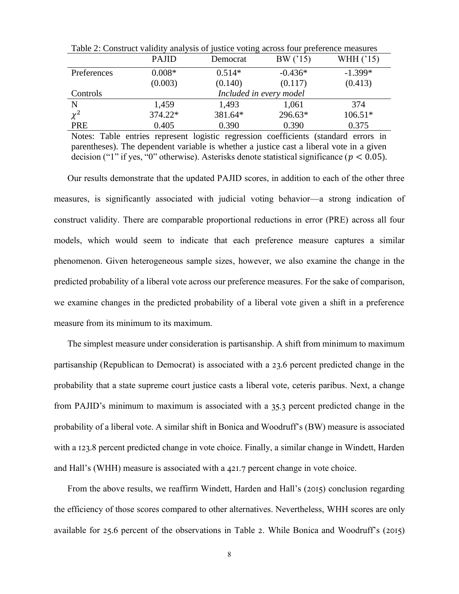|             | <b>PAJID</b>            | Democrat | BW('15)   | WHH ('15) |  |  |
|-------------|-------------------------|----------|-----------|-----------|--|--|
| Preferences | $0.008*$                | $0.514*$ | $-0.436*$ | $-1.399*$ |  |  |
|             | (0.003)                 | (0.140)  | (0.117)   | (0.413)   |  |  |
| Controls    | Included in every model |          |           |           |  |  |
| $\mathbf N$ | 1,459                   | 1,493    | 1,061     | 374       |  |  |
| $\chi^2$    | 374.22*                 | 381.64*  | 296.63*   | $106.51*$ |  |  |
| PRE         | 0.405                   | 0.390    | 0.390     | 0.375     |  |  |

Table 2: Construct validity analysis of justice voting across four preference measures

Notes: Table entries represent logistic regression coefficients (standard errors in parentheses). The dependent variable is whether a justice cast a liberal vote in a given decision ("1" if yes, "0" otherwise). Asterisks denote statistical significance ( $p < 0.05$ ).

Our results demonstrate that the updated PAJID scores, in addition to each of the other three measures, is significantly associated with judicial voting behavior—a strong indication of construct validity. There are comparable proportional reductions in error (PRE) across all four models, which would seem to indicate that each preference measure captures a similar phenomenon. Given heterogeneous sample sizes, however, we also examine the change in the predicted probability of a liberal vote across our preference measures. For the sake of comparison, we examine changes in the predicted probability of a liberal vote given a shift in a preference measure from its minimum to its maximum.

The simplest measure under consideration is partisanship. A shift from minimum to maximum partisanship (Republican to Democrat) is associated with a 23.6 percent predicted change in the probability that a state supreme court justice casts a liberal vote, ceteris paribus. Next, a change from PAJID's minimum to maximum is associated with a 35.3 percent predicted change in the probability of a liberal vote. A similar shift in Bonica and Woodruff's (BW) measure is associated with a 123.8 percent predicted change in vote choice. Finally, a similar change in Windett, Harden and Hall's (WHH) measure is associated with a 421.7 percent change in vote choice.

From the above results, we reaffirm Windett, Harden and Hall's (2015) conclusion regarding the efficiency of those scores compared to other alternatives. Nevertheless, WHH scores are only available for 25.6 percent of the observations in Table 2. While Bonica and Woodruff's (2015)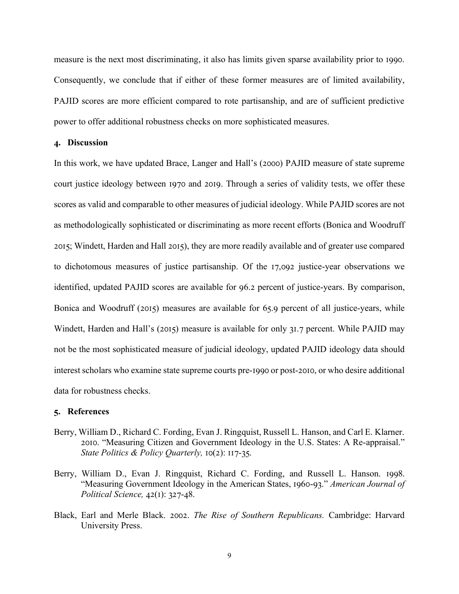measure is the next most discriminating, it also has limits given sparse availability prior to 1990. Consequently, we conclude that if either of these former measures are of limited availability, PAJID scores are more efficient compared to rote partisanship, and are of sufficient predictive power to offer additional robustness checks on more sophisticated measures.

## **4. Discussion**

In this work, we have updated Brace, Langer and Hall's (2000) PAJID measure of state supreme court justice ideology between 1970 and 2019. Through a series of validity tests, we offer these scores as valid and comparable to other measures of judicial ideology. While PAJID scores are not as methodologically sophisticated or discriminating as more recent efforts (Bonica and Woodruff 2015; Windett, Harden and Hall 2015), they are more readily available and of greater use compared to dichotomous measures of justice partisanship. Of the 17,092 justice-year observations we identified, updated PAJID scores are available for 96.2 percent of justice-years. By comparison, Bonica and Woodruff (2015) measures are available for 65.9 percent of all justice-years, while Windett, Harden and Hall's (2015) measure is available for only 31.7 percent. While PAJID may not be the most sophisticated measure of judicial ideology, updated PAJID ideology data should interest scholars who examine state supreme courts pre-1990 or post-2010, or who desire additional data for robustness checks.

### **5. References**

- Berry, William D., Richard C. Fording, Evan J. Ringquist, Russell L. Hanson, and Carl E. Klarner. 2010. "Measuring Citizen and Government Ideology in the U.S. States: A Re-appraisal." *State Politics & Policy Quarterly,* 10(2): 117-35.
- Berry, William D., Evan J. Ringquist, Richard C. Fording, and Russell L. Hanson. 1998. "Measuring Government Ideology in the American States, 1960-93." *American Journal of Political Science,* 42(1): 327-48.
- Black, Earl and Merle Black. 2002. *The Rise of Southern Republicans.* Cambridge: Harvard University Press.